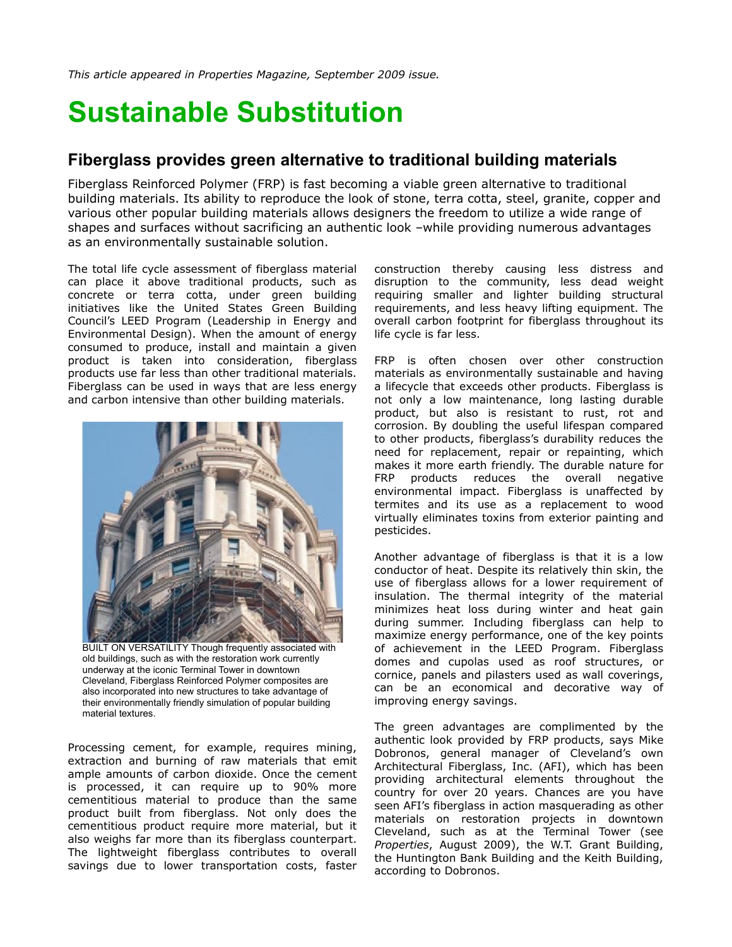*This article appeared in Properties Magazine, September 2009 issue.*

## **Sustainable Substitution**

## **Fiberglass provides green alternative to traditional building materials**

Fiberglass Reinforced Polymer (FRP) is fast becoming a viable green alternative to traditional building materials. Its ability to reproduce the look of stone, terra cotta, steel, granite, copper and various other popular building materials allows designers the freedom to utilize a wide range of shapes and surfaces without sacrificing an authentic look –while providing numerous advantages as an environmentally sustainable solution.

The total life cycle assessment of fiberglass material can place it above traditional products, such as concrete or terra cotta, under green building initiatives like the United States Green Building Council's LEED Program (Leadership in Energy and Environmental Design). When the amount of energy consumed to produce, install and maintain a given product is taken into consideration, fiberglass products use far less than other traditional materials. Fiberglass can be used in ways that are less energy and carbon intensive than other building materials.



BUILT ON VERSATILITY Though frequently associated with old buildings, such as with the restoration work currently underway at the iconic Terminal Tower in downtown Cleveland, Fiberglass Reinforced Polymer composites are also incorporated into new structures to take advantage of their environmentally friendly simulation of popular building material textures.

Processing cement, for example, requires mining, extraction and burning of raw materials that emit ample amounts of carbon dioxide. Once the cement is processed, it can require up to 90% more cementitious material to produce than the same product built from fiberglass. Not only does the cementitious product require more material, but it also weighs far more than its fiberglass counterpart. The lightweight fiberglass contributes to overall savings due to lower transportation costs, faster

construction thereby causing less distress and disruption to the community, less dead weight requiring smaller and lighter building structural requirements, and less heavy lifting equipment. The overall carbon footprint for fiberglass throughout its life cycle is far less.

FRP is often chosen over other construction materials as environmentally sustainable and having a lifecycle that exceeds other products. Fiberglass is not only a low maintenance, long lasting durable product, but also is resistant to rust, rot and corrosion. By doubling the useful lifespan compared to other products, fiberglass's durability reduces the need for replacement, repair or repainting, which makes it more earth friendly. The durable nature for FRP products reduces the overall negative environmental impact. Fiberglass is unaffected by termites and its use as a replacement to wood virtually eliminates toxins from exterior painting and pesticides.

Another advantage of fiberglass is that it is a low conductor of heat. Despite its relatively thin skin, the use of fiberglass allows for a lower requirement of insulation. The thermal integrity of the material minimizes heat loss during winter and heat gain during summer. Including fiberglass can help to maximize energy performance, one of the key points of achievement in the LEED Program. Fiberglass domes and cupolas used as roof structures, or cornice, panels and pilasters used as wall coverings, can be an economical and decorative way of improving energy savings.

The green advantages are complimented by the authentic look provided by FRP products, says Mike Dobronos, general manager of Cleveland's own Architectural Fiberglass, Inc. (AFI), which has been providing architectural elements throughout the country for over 20 years. Chances are you have seen AFI's fiberglass in action masquerading as other materials on restoration projects in downtown Cleveland, such as at the Terminal Tower (see *Properties*, August 2009), the W.T. Grant Building, the Huntington Bank Building and the Keith Building, according to Dobronos.